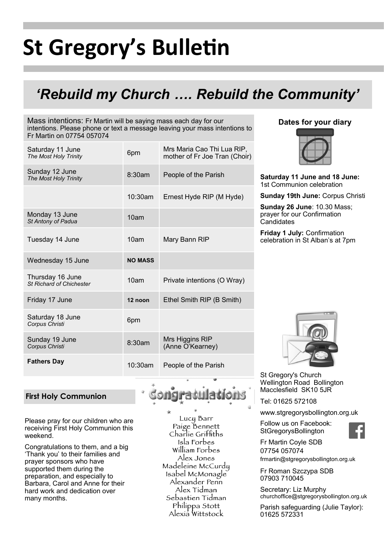# **St Gregory's Bulletin**

## *'Rebuild my Church …. Rebuild the Community'*

Mass intentions: Fr Martin will be saying mass each day for our intentions. Please phone or text a message leaving your mass intentions to Fr Martin on 07754 057074

| Saturday 11 June<br>The Most Holy Trinity           | 6pm              | Mrs Maria Cao Thi Lua RIP,<br>mother of Fr Joe Tran (Choir) |
|-----------------------------------------------------|------------------|-------------------------------------------------------------|
| Sunday 12 June<br>The Most Holy Trinity             | 8:30am           | People of the Parish                                        |
|                                                     | $10:30$ am       | Ernest Hyde RIP (M Hyde)                                    |
| Monday 13 June<br>St Antony of Padua                | 10 <sub>am</sub> |                                                             |
| Tuesday 14 June                                     | 10am             | Mary Bann RIP                                               |
| Wednesday 15 June                                   | <b>NO MASS</b>   |                                                             |
| Thursday 16 June<br><b>St Richard of Chichester</b> | 10 <sub>am</sub> | Private intentions (O Wray)                                 |
| Friday 17 June                                      | 12 noon          | Ethel Smith RIP (B Smith)                                   |
| Saturday 18 June<br>Corpus Christi                  | 6pm              |                                                             |
|                                                     |                  |                                                             |
| Sunday 19 June<br>Corpus Christi                    | 8:30am           | Mrs Higgins RIP<br>(Anne O'Kearney)                         |

#### **Dates for your diary**



**Saturday 11 June and 18 June:**  1st Communion celebration

**Sunday 19th June:** Corpus Christi

**Sunday 26 June**: 10.30 Mass; prayer for our Confirmation **Candidates** 

**Friday 1 July:** Confirmation celebration in St Alban's at 7pm

#### **First Holy Communion**

Please pray for our children who are receiving First Holy Communion this weekend.

Congratulations to them, and a big 'Thank you' to their families and prayer sponsors who have supported them during the preparation, and especially to Barbara, Carol and Anne for their hard work and dedication over many months.

Lucy Barr Paige Bennett Charlie Griffiths Isla Forbes William Forbes Alex Jones Madeleine McCurdu Isabel McMonagle Alexander Penn Alex Tídman Sebastien Tidman Philippa Stott Alexía Wittstock



St Gregory's Church Wellington Road Bollington Macclesfield SK10 5JR

Tel: 01625 572108

www.stgregorysbollington.org.uk

Follow us on Facebook: **StGregorysBollington** 



Fr Martin Coyle SDB 07754 057074 frmartin@stgregorysbollington.org.uk

Fr Roman Szczypa SDB 07903 710045

Secretary: Liz Murphy churchoffice@stgregorysbollington.org.uk

Parish safeguarding (Julie Taylor): 01625 572331